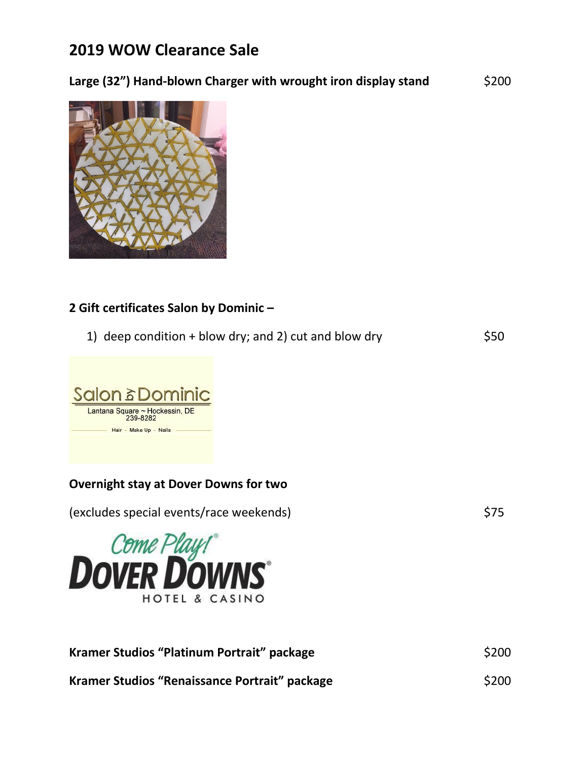# **2019 WOW Clearance Sale**

### Large (32") Hand-blown Charger with wrought iron display stand \$200



#### **2 Gift certificates Salon by Dominic –**

1) deep condition + blow dry; and 2) cut and blow dry  $$50$ 



### **Overnight stay at Dover Downs for two**

(excludes special events/race weekends) \$75



| Kramer Studios "Platinum Portrait" package    | \$200 |
|-----------------------------------------------|-------|
| Kramer Studios "Renaissance Portrait" package | \$200 |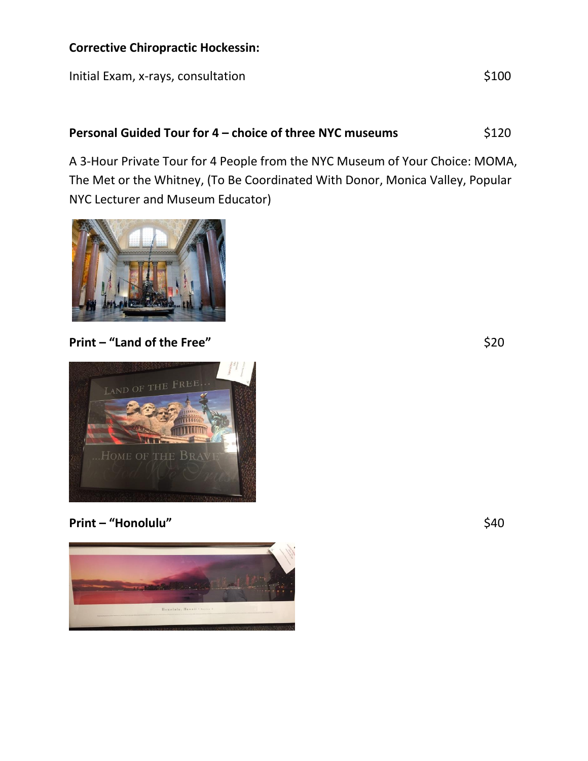#### **Corrective Chiropractic Hockessin:**

Initial Exam, x-rays, consultation  $$100$ 

### **Personal Guided Tour for 4 – choice of three NYC museums** \$120

A 3-Hour Private Tour for 4 People from the NYC Museum of Your Choice: MOMA, The Met or the Whitney, (To Be Coordinated With Donor, Monica Valley, Popular NYC Lecturer and Museum Educator)



## **Print – "Land of the Free"**  $$20$

LAND OF THE FREE

## **Print – "Honolulu"** \$40

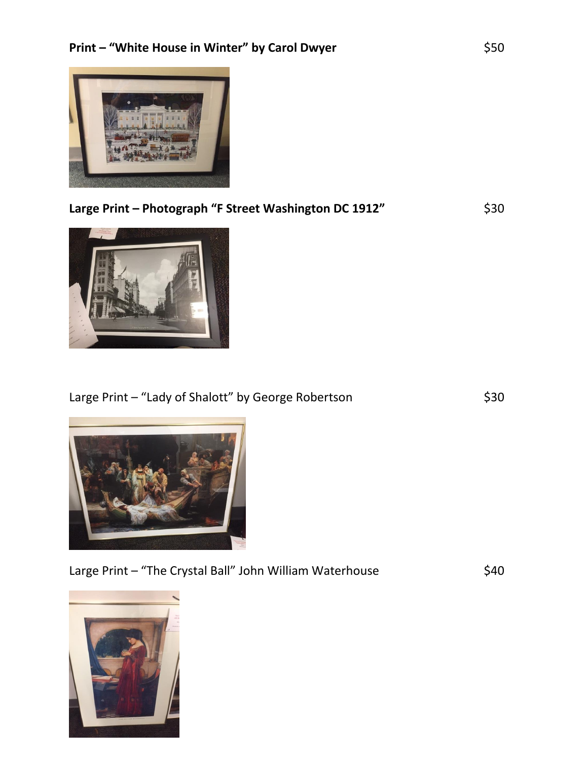

| Large Print – Photograph "F Street Washington DC 1912" | \$30 |
|--------------------------------------------------------|------|
|                                                        |      |



# Large Print – "Lady of Shalott" by George Robertson  $$30$



Large Print – "The Crystal Ball" John William Waterhouse  $\lessdot$  \$40

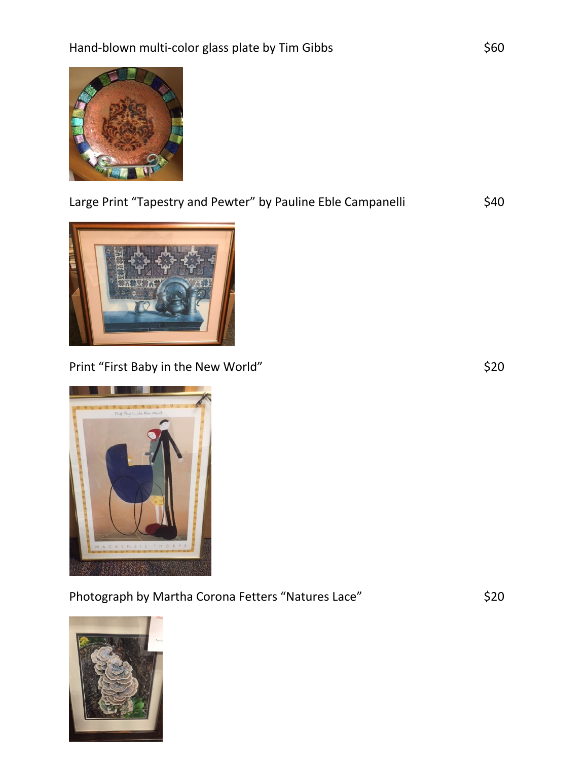

| Large Print "Tapestry and Pewter" by Pauline Eble Campanelli | \$40 |
|--------------------------------------------------------------|------|
|                                                              |      |



Print "First Baby in the New World" **\$20** 



Photograph by Martha Corona Fetters "Natures Lace"  $\qquad \qquad$ \$20

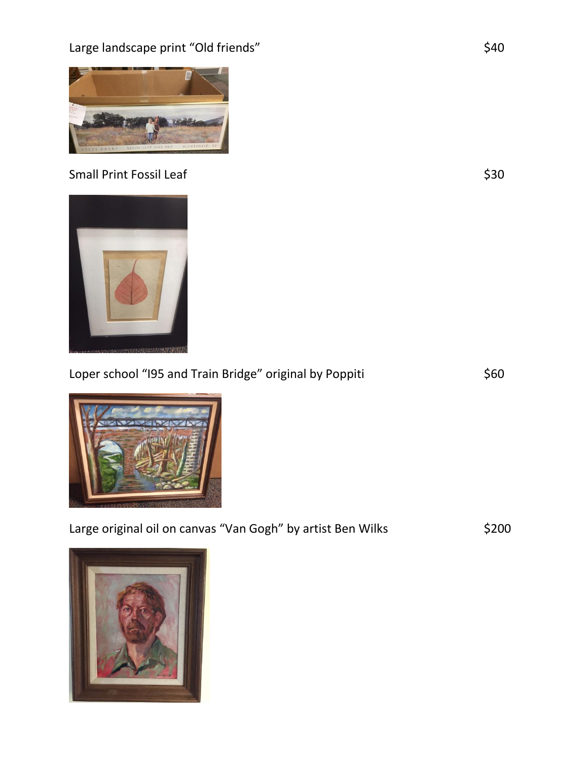Large landscape print "Old friends" **\$40** 



# Small Print Fossil Leaf  $\frac{1}{2}$  Small Print Fossil Leaf

| Loper school "I95 and Train Bridge" original by Poppiti | \$60 |
|---------------------------------------------------------|------|